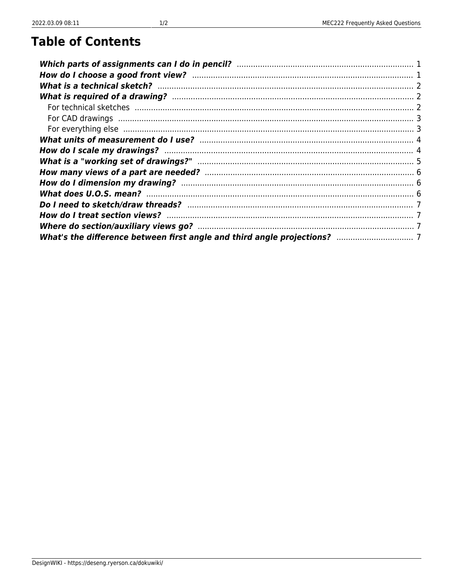DesignWIKI - https://deseng.ryerson.ca/dokuwiki/

# **Table of Contents**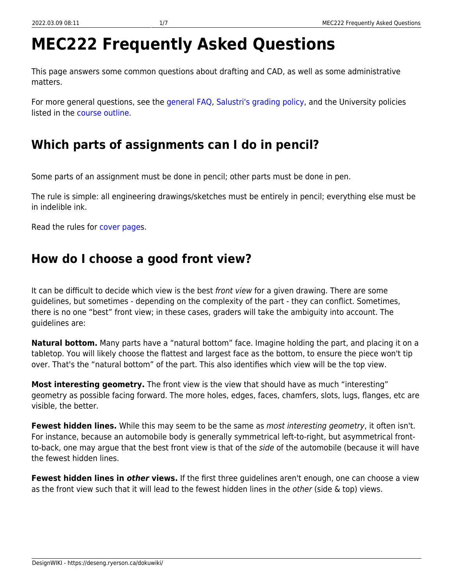# **MEC222 Frequently Asked Questions**

This page answers some common questions about drafting and CAD, as well as some administrative matters.

For more general questions, see the [general FAQ](https://deseng.ryerson.ca/dokuwiki/teaching:general_faq), [Salustri's grading policy](https://deseng.ryerson.ca/dokuwiki/teaching:salustri_s_grading_policy), and the University policies listed in the [course outline](https://deseng.ryerson.ca/dokuwiki/mec222:course_outline).

# <span id="page-2-0"></span>**Which parts of assignments can I do in pencil?**

Some parts of an assignment must be done in pencil; other parts must be done in pen.

The rule is simple: all engineering drawings/sketches must be entirely in pencil; everything else must be in indelible ink.

Read the rules for [cover pages](https://deseng.ryerson.ca/dokuwiki/teaching:cover_page).

### <span id="page-2-1"></span>**How do I choose a good front view?**

It can be difficult to decide which view is the best front view for a given drawing. There are some guidelines, but sometimes - depending on the complexity of the part - they can conflict. Sometimes, there is no one "best" front view; in these cases, graders will take the ambiguity into account. The guidelines are:

**Natural bottom.** Many parts have a "natural bottom" face. Imagine holding the part, and placing it on a tabletop. You will likely choose the flattest and largest face as the bottom, to ensure the piece won't tip over. That's the "natural bottom" of the part. This also identifies which view will be the top view.

**Most interesting geometry.** The front view is the view that should have as much "interesting" geometry as possible facing forward. The more holes, edges, faces, chamfers, slots, lugs, flanges, etc are visible, the better.

**Fewest hidden lines.** While this may seem to be the same as most interesting geometry, it often isn't. For instance, because an automobile body is generally symmetrical left-to-right, but asymmetrical frontto-back, one may argue that the best front view is that of the side of the automobile (because it will have the fewest hidden lines.

**Fewest hidden lines in** *other* **views.** If the first three guidelines aren't enough, one can choose a view as the front view such that it will lead to the fewest hidden lines in the *other* (side  $\&$  top) views.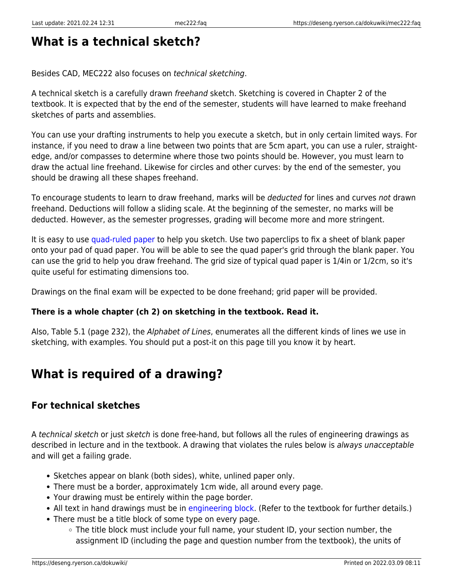### **What is a technical sketch?**

Besides CAD, MEC222 also focuses on technical sketching.

A technical sketch is a carefully drawn freehand sketch. Sketching is covered in Chapter 2 of the textbook. It is expected that by the end of the semester, students will have learned to make freehand sketches of parts and assemblies.

You can use your drafting instruments to help you execute a sketch, but in only certain limited ways. For instance, if you need to draw a line between two points that are 5cm apart, you can use a ruler, straightedge, and/or compasses to determine where those two points should be. However, you must learn to draw the actual line freehand. Likewise for circles and other curves: by the end of the semester, you should be drawing all these shapes freehand.

To encourage students to learn to draw freehand, marks will be deducted for lines and curves not drawn freehand. Deductions will follow a sliding scale. At the beginning of the semester, no marks will be deducted. However, as the semester progresses, grading will become more and more stringent.

It is easy to use [quad-ruled paper](https://www.google.ca/search?q=quad+ruled+paper) to help you sketch. Use two paperclips to fix a sheet of blank paper onto your pad of quad paper. You will be able to see the quad paper's grid through the blank paper. You can use the grid to help you draw freehand. The grid size of typical quad paper is 1/4in or 1/2cm, so it's quite useful for estimating dimensions too.

Drawings on the final exam will be expected to be done freehand; grid paper will be provided.

#### **There is a whole chapter (ch 2) on sketching in the textbook. Read it.**

Also, Table 5.1 (page 232), the Alphabet of Lines, enumerates all the different kinds of lines we use in sketching, with examples. You should put a post-it on this page till you know it by heart.

### <span id="page-3-1"></span>**What is required of a drawing?**

#### <span id="page-3-2"></span>**For technical sketches**

A technical sketch or just sketch is done free-hand, but follows all the rules of engineering drawings as described in lecture and in the textbook. A drawing that violates the rules below is always unacceptable and will get a failing grade.

- Sketches appear on blank (both sides), white, unlined paper only.
- There must be a border, approximately 1cm wide, all around every page.
- Your drawing must be entirely within the page border.
- All text in hand drawings must be in [engineering block.](https://deseng.ryerson.ca/dokuwiki/teaching:engineering_block) (Refer to the textbook for further details.)
- <span id="page-3-0"></span>There must be a title block of some type on every page.
	- The title block must include your full name, your student ID, your section number, the assignment ID (including the page and question number from the textbook), the units of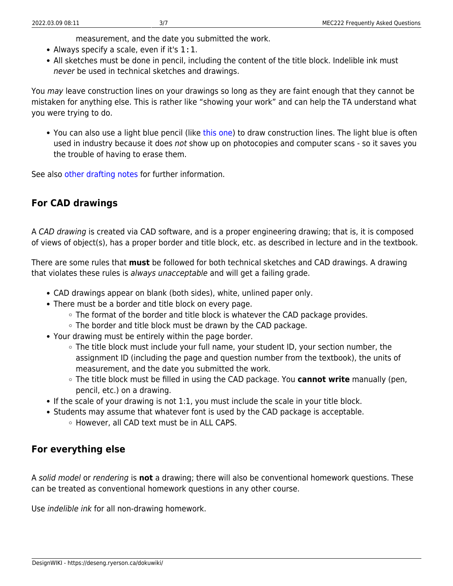measurement, and the date you submitted the work.

- Always specify a scale, even if it's 1:1.
- All sketches must be done in pencil, including the content of the title block. Indelible ink must never be used in technical sketches and drawings.

You may leave construction lines on your drawings so long as they are faint enough that they cannot be mistaken for anything else. This is rather like "showing your work" and can help the TA understand what you were trying to do.

You can also use a light blue pencil (like [this one](https://www.grandandtoy.com/en/product/10830-0_Staedtler_Non-Photo_Blue_Pencil.aspx)) to draw construction lines. The light blue is often used in industry because it does not show up on photocopies and computer scans - so it saves you the trouble of having to erase them.

See also [other drafting notes](https://deseng.ryerson.ca/dokuwiki/mec222:other_drafting_notes) for further information.

#### <span id="page-4-0"></span>**For CAD drawings**

A CAD drawing is created via CAD software, and is a proper engineering drawing; that is, it is composed of views of object(s), has a proper border and title block, etc. as described in lecture and in the textbook.

There are some rules that **must** be followed for both technical sketches and CAD drawings. A drawing that violates these rules is always unacceptable and will get a failing grade.

- CAD drawings appear on blank (both sides), white, unlined paper only.
- There must be a border and title block on every page.
	- $\circ$  The format of the border and title block is whatever the CAD package provides.
	- $\circ$  The border and title block must be drawn by the CAD package.
- Your drawing must be entirely within the page border.
	- $\circ$  The title block must include your full name, your student ID, your section number, the assignment ID (including the page and question number from the textbook), the units of measurement, and the date you submitted the work.
	- The title block must be filled in using the CAD package. You **cannot write** manually (pen, pencil, etc.) on a drawing.
- If the scale of your drawing is not 1:1, you must include the scale in your title block.
- Students may assume that whatever font is used by the CAD package is acceptable.
	- However, all CAD text must be in ALL CAPS.

#### <span id="page-4-1"></span>**For everything else**

A solid model or rendering is **not** a drawing; there will also be conventional homework questions. These can be treated as conventional homework questions in any other course.

Use indelible ink for all non-drawing homework.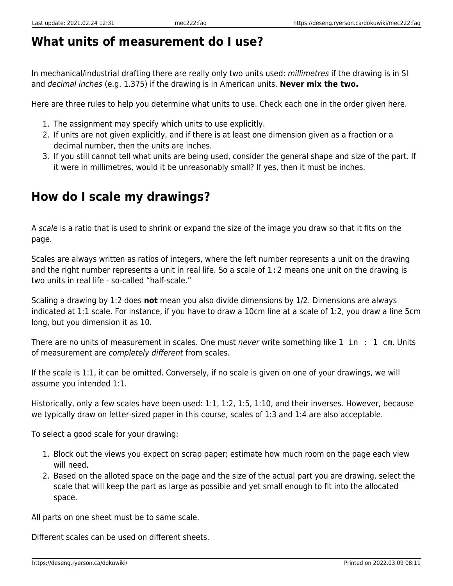### <span id="page-5-0"></span>**What units of measurement do I use?**

In mechanical/industrial drafting there are really only two units used: millimetres if the drawing is in SI and decimal inches (e.g. 1.375) if the drawing is in American units. **Never mix the two.**

Here are three rules to help you determine what units to use. Check each one in the order given here.

- 1. The assignment may specify which units to use explicitly.
- 2. If units are not given explicitly, and if there is at least one dimension given as a fraction or a decimal number, then the units are inches.
- 3. If you still cannot tell what units are being used, consider the general shape and size of the part. If it were in millimetres, would it be unreasonably small? If yes, then it must be inches.

# <span id="page-5-1"></span>**How do I scale my drawings?**

A scale is a ratio that is used to shrink or expand the size of the image you draw so that it fits on the page.

Scales are always written as ratios of integers, where the left number represents a unit on the drawing and the right number represents a unit in real life. So a scale of 1:2 means one unit on the drawing is two units in real life - so-called "half-scale."

Scaling a drawing by 1:2 does **not** mean you also divide dimensions by 1/2. Dimensions are always indicated at 1:1 scale. For instance, if you have to draw a 10cm line at a scale of 1:2, you draw a line 5cm long, but you dimension it as 10.

There are no units of measurement in scales. One must *never* write something like  $1$  in  $: 1$  cm. Units of measurement are completely different from scales.

If the scale is 1:1, it can be omitted. Conversely, if no scale is given on one of your drawings, we will assume you intended 1:1.

Historically, only a few scales have been used: 1:1, 1:2, 1:5, 1:10, and their inverses. However, because we typically draw on letter-sized paper in this course, scales of 1:3 and 1:4 are also acceptable.

To select a good scale for your drawing:

- 1. Block out the views you expect on scrap paper; estimate how much room on the page each view will need.
- 2. Based on the alloted space on the page and the size of the actual part you are drawing, select the scale that will keep the part as large as possible and yet small enough to fit into the allocated space.

All parts on one sheet must be to same scale.

Different scales can be used on different sheets.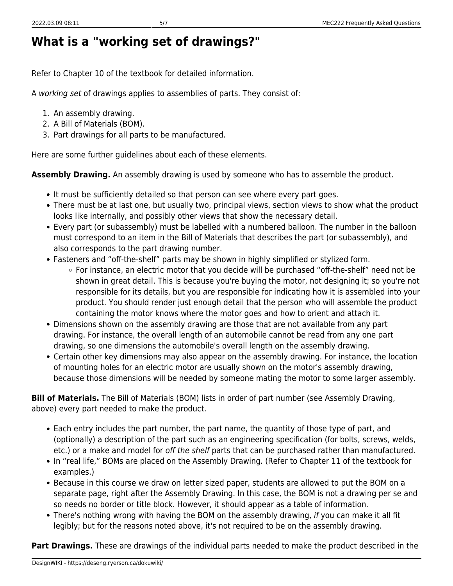# <span id="page-6-0"></span>**What is a "working set of drawings?"**

Refer to Chapter 10 of the textbook for detailed information.

A working set of drawings applies to assemblies of parts. They consist of:

- 1. An assembly drawing.
- 2. A Bill of Materials (BOM).
- 3. Part drawings for all parts to be manufactured.

Here are some further guidelines about each of these elements.

**Assembly Drawing.** An assembly drawing is used by someone who has to assemble the product.

- It must be sufficiently detailed so that person can see where every part goes.
- There must be at last one, but usually two, principal views, section views to show what the product looks like internally, and possibly other views that show the necessary detail.
- Every part (or subassembly) must be labelled with a numbered balloon. The number in the balloon must correspond to an item in the Bill of Materials that describes the part (or subassembly), and also corresponds to the part drawing number.
- Fasteners and "off-the-shelf" parts may be shown in highly simplified or stylized form.
	- For instance, an electric motor that you decide will be purchased "off-the-shelf" need not be shown in great detail. This is because you're buying the motor, not designing it; so you're not responsible for its details, but you are responsible for indicating how it is assembled into your product. You should render just enough detail that the person who will assemble the product containing the motor knows where the motor goes and how to orient and attach it.
- Dimensions shown on the assembly drawing are those that are not available from any part drawing. For instance, the overall length of an automobile cannot be read from any one part drawing, so one dimensions the automobile's overall length on the assembly drawing.
- Certain other key dimensions may also appear on the assembly drawing. For instance, the location of mounting holes for an electric motor are usually shown on the motor's assembly drawing, because those dimensions will be needed by someone mating the motor to some larger assembly.

**Bill of Materials.** The Bill of Materials (BOM) lists in order of part number (see Assembly Drawing, above) every part needed to make the product.

- Each entry includes the part number, the part name, the quantity of those type of part, and (optionally) a description of the part such as an engineering specification (for bolts, screws, welds, etc.) or a make and model for off the shelf parts that can be purchased rather than manufactured.
- In "real life," BOMs are placed on the Assembly Drawing. (Refer to Chapter 11 of the textbook for examples.)
- Because in this course we draw on letter sized paper, students are allowed to put the BOM on a separate page, right after the Assembly Drawing. In this case, the BOM is not a drawing per se and so needs no border or title block. However, it should appear as a table of information.
- There's nothing wrong with having the BOM on the assembly drawing, if you can make it all fit legibly; but for the reasons noted above, it's not required to be on the assembly drawing.

**Part Drawings.** These are drawings of the individual parts needed to make the product described in the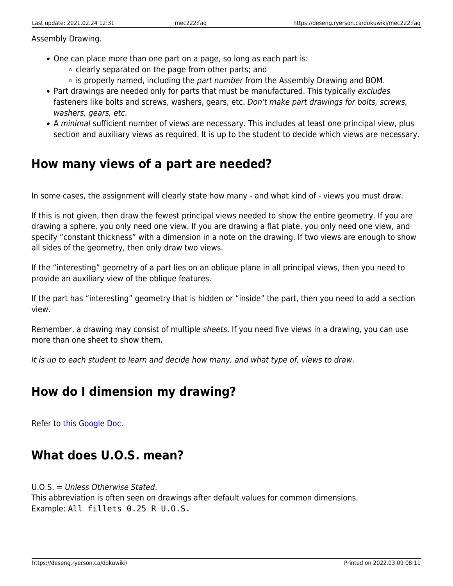Assembly Drawing.

- One can place more than one part on a page, so long as each part is:
	- $\circ$  clearly separated on the page from other parts; and
	- $\circ$  is properly named, including the part number from the Assembly Drawing and BOM.
- Part drawings are needed only for parts that must be manufactured. This typically excludes fasteners like bolts and screws, washers, gears, etc. Don't make part drawings for bolts, screws, washers, gears, etc.
- A minimal sufficient number of views are necessary. This includes at least one principal view, plus section and auxiliary views as required. It is up to the student to decide which views are necessary.

#### <span id="page-7-0"></span>**How many views of a part are needed?**

In some cases, the assignment will clearly state how many - and what kind of - views you must draw.

If this is not given, then draw the fewest principal views needed to show the entire geometry. If you are drawing a sphere, you only need one view. If you are drawing a flat plate, you only need one view, and specify "constant thickness" with a dimension in a note on the drawing. If two views are enough to show all sides of the geometry, then only draw two views.

If the "interesting" geometry of a part lies on an oblique plane in all principal views, then you need to provide an auxiliary view of the oblique features.

If the part has "interesting" geometry that is hidden or "inside" the part, then you need to add a section view.

Remember, a drawing may consist of multiple sheets. If you need five views in a drawing, you can use more than one sheet to show them.

It is up to each student to learn and decide how many, and what type of, views to draw.

#### <span id="page-7-1"></span>**How do I dimension my drawing?**

Refer to [this Google Doc.](https://docs.google.com/document/d/1y7mEYDpVqEmF3tmc4SWbUsQJGEAJdGMgUge-QkEcyKY/edit?usp=sharing)

#### <span id="page-7-2"></span>**What does U.O.S. mean?**

U.O.S. = Unless Otherwise Stated.

This abbreviation is often seen on drawings after default values for common dimensions. Example: All fillets 0.25 R U.O.S.